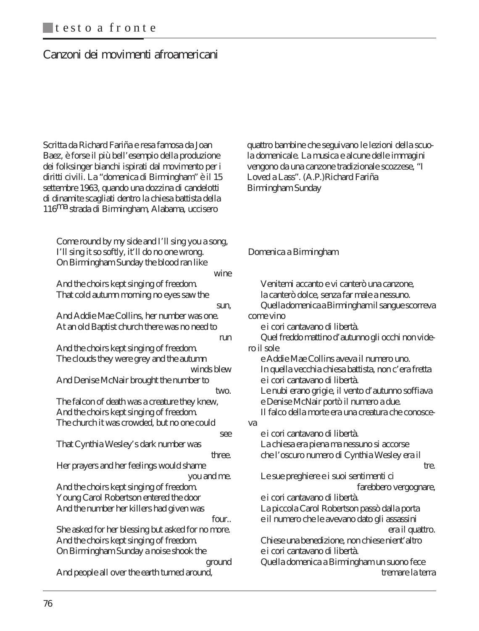## **Canzoni dei movimenti afroamericani**

Scritta da Richard Fariña e resa famosa da Joan Baez, è forse il più bell'esempio della produzione dei folksinger bianchi ispirati dal movimento per i diritti civili. La "domenica di Birmingham" è il 15 settembre 1963, quando una dozzina di candelotti di dinamite scagliati dentro la chiesa battista della 116ma strada di Birmingham, Alabama, uccisero

quattro bambine che seguivano le lezioni della scuola domenicale. La musica e alcune delle immagini vengono da una canzone tradizionale scozzese, "I Loved a Lass". (A.P.)**Richard Fariña Birmingham Sunday** 

| Come round by my side and I'll sing you a song,   |                          |
|---------------------------------------------------|--------------------------|
| I'll sing it so softly, it'll do no one wrong.    | Domenica a Birmingham    |
| On Birmingham Sunday the blood ran like           |                          |
| wine                                              |                          |
| And the choirs kept singing of freedom.           | Venitemi accanto e vi    |
| That cold autumn morning no eyes saw the          | la canterò dolce, senza  |
| sun,                                              | Quella domenica a Bir    |
| And Addie Mae Collins, her number was one.        | come vino                |
| At an old Baptist church there was no need to     | e i cori cantavano di li |
|                                                   |                          |
| run                                               | Quel freddo mattino d    |
| And the choirs kept singing of freedom.           | ro il sole               |
| The clouds they were grey and the autumn          | e Addie Mae Collins a    |
| winds blew                                        | In quella vecchia chie   |
| And Denise McNair brought the number to           | e i cori cantavano di li |
| two.                                              | Le nubi erano grigie, i  |
| The falcon of death was a creature they knew,     | e Denise McNair port     |
| And the choirs kept singing of freedom.           | Il falco della morte era |
| The church it was crowded, but no one could       | va                       |
| see                                               | e i cori cantavano di li |
| That Cynthia Wesley's dark number was             | La chiesa era piena ma   |
| three.                                            | che l'oscuro numero d    |
| Her prayers and her feelings would shame          |                          |
| you and me.                                       | Le sue preghiere e i su  |
| And the choirs kept singing of freedom.           |                          |
| Young Carol Robertson entered the door            | e i cori cantavano di li |
|                                                   | La piccola Carol Robe    |
| And the number her killers had given was          |                          |
| four                                              | e il numero che le ave   |
| She asked for her blessing but asked for no more. |                          |
| And the choirs kept singing of freedom.           | Chiese una benedizion    |
| On Birmingham Sunday a noise shook the            | e i cori cantavano di li |
| ground                                            | Quella domenica a Bi     |
| <b>CONTRACTOR</b> CONTRACTOR                      |                          |

And people all over the earth turned around,

canto e vi canterò una canzone. lce, senza far male a nessuno. nica a Birmingham il sangue scorreva vano di libertà. mattino d'autunno gli occhi non vide-Collins aveva il numero uno. chia chiesa battista, non c'era fretta vano di libertà. o grigie, il vento d'autunno soffiava Nair portò il numero a due. morte era una creatura che conoscevano di libertà. piena ma nessuno si accorse numero di Cynthia Wesley era il tre. le sue preghiere e i suoi sentimenti ci farebbero vergognare, vano di libertà. arol Robertson passò dalla porta he le avevano dato gli assassini era il quattro. enedizione, non chiese nient'altro vano di libertà. nica a Birmingham un suono fece tremare la terra